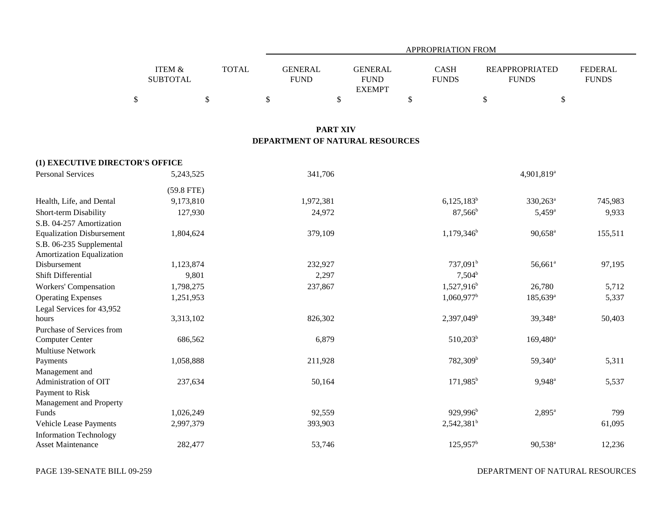|                                                    |                           |              | <b>APPROPRIATION FROM</b>     |                                                |                             |                                       |                                |  |  |
|----------------------------------------------------|---------------------------|--------------|-------------------------------|------------------------------------------------|-----------------------------|---------------------------------------|--------------------------------|--|--|
|                                                    | ITEM &<br><b>SUBTOTAL</b> | <b>TOTAL</b> | <b>GENERAL</b><br><b>FUND</b> | <b>GENERAL</b><br><b>FUND</b><br><b>EXEMPT</b> | <b>CASH</b><br><b>FUNDS</b> | <b>REAPPROPRIATED</b><br><b>FUNDS</b> | <b>FEDERAL</b><br><b>FUNDS</b> |  |  |
|                                                    | \$                        | \$           | Φ                             | \$                                             | ⊄<br>⊅                      | \$<br>←<br>⊅                          |                                |  |  |
| <b>PART XIV</b><br>DEPARTMENT OF NATURAL RESOURCES |                           |              |                               |                                                |                             |                                       |                                |  |  |
| (1) EXECUTIVE DIRECTOR'S OFFICE                    |                           |              |                               |                                                |                             |                                       |                                |  |  |
| <b>Personal Services</b>                           | 5, 243, 525               |              | 341,706                       |                                                |                             | $4,901,819$ <sup>a</sup>              |                                |  |  |
|                                                    | $(50.0 \text{ mm})$       |              |                               |                                                |                             |                                       |                                |  |  |

|                                  | $(59.8$ FTE) |           |                          |                        |         |
|----------------------------------|--------------|-----------|--------------------------|------------------------|---------|
| Health, Life, and Dental         | 9,173,810    | 1,972,381 | $6,125,183^b$            | $330,263^{\circ}$      | 745,983 |
| Short-term Disability            | 127,930      | 24,972    | $87,566^{\rm b}$         | $5,459^{\rm a}$        | 9,933   |
| S.B. 04-257 Amortization         |              |           |                          |                        |         |
| <b>Equalization Disbursement</b> | 1,804,624    | 379,109   | $1,179,346^b$            | $90,658^{\circ}$       | 155,511 |
| S.B. 06-235 Supplemental         |              |           |                          |                        |         |
| Amortization Equalization        |              |           |                          |                        |         |
| Disbursement                     | 1,123,874    | 232,927   | $737,091^b$              | $56,661$ <sup>a</sup>  | 97,195  |
| Shift Differential               | 9,801        | 2,297     | $7,504^{\rm b}$          |                        |         |
| Workers' Compensation            | 1,798,275    | 237,867   | $1,527,916^b$            | 26,780                 | 5,712   |
| <b>Operating Expenses</b>        | 1,251,953    |           | $1,060,977$ <sup>b</sup> | 185,639 <sup>a</sup>   | 5,337   |
| Legal Services for 43,952        |              |           |                          |                        |         |
| hours                            | 3,313,102    | 826,302   | $2,397,049^b$            | 39,348 <sup>a</sup>    | 50,403  |
| Purchase of Services from        |              |           |                          |                        |         |
| <b>Computer Center</b>           | 686,562      | 6,879     | $510,203^b$              | $169,480$ <sup>a</sup> |         |
| <b>Multiuse Network</b>          |              |           |                          |                        |         |
| Payments                         | 1,058,888    | 211,928   | 782,309 <sup>b</sup>     | 59,340 <sup>a</sup>    | 5,311   |
| Management and                   |              |           |                          |                        |         |
| Administration of OIT            | 237,634      | 50,164    | $171,985^b$              | $9,948^{\circ}$        | 5,537   |
| Payment to Risk                  |              |           |                          |                        |         |
| Management and Property          |              |           |                          |                        |         |
| Funds                            | 1,026,249    | 92,559    | 929,996 <sup>b</sup>     | $2,895^{\circ}$        | 799     |
| Vehicle Lease Payments           | 2,997,379    | 393,903   | $2,542,381^b$            |                        | 61,095  |
| <b>Information Technology</b>    |              |           |                          |                        |         |
| <b>Asset Maintenance</b>         | 282,477      | 53,746    | $125,957^{\rm b}$        | 90,538 <sup>a</sup>    | 12,236  |

DEPARTMENT OF NATURAL RESOURCES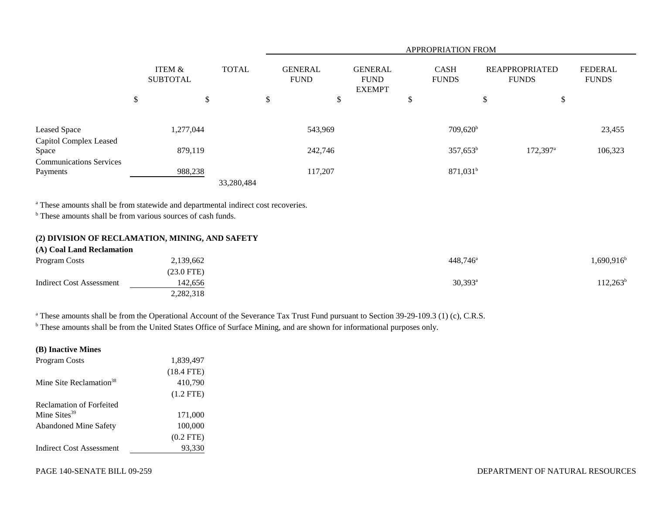|                                            |                           |              | <b>APPROPRIATION FROM</b> |                               |                                                |    |                             |    |                                       |                                |
|--------------------------------------------|---------------------------|--------------|---------------------------|-------------------------------|------------------------------------------------|----|-----------------------------|----|---------------------------------------|--------------------------------|
|                                            | ITEM &<br><b>SUBTOTAL</b> | <b>TOTAL</b> |                           | <b>GENERAL</b><br><b>FUND</b> | <b>GENERAL</b><br><b>FUND</b><br><b>EXEMPT</b> |    | <b>CASH</b><br><b>FUNDS</b> |    | <b>REAPPROPRIATED</b><br><b>FUNDS</b> | <b>FEDERAL</b><br><b>FUNDS</b> |
|                                            | \$                        | \$           | \$                        | \$                            |                                                | \$ |                             | \$ | \$                                    |                                |
| Leased Space                               | 1,277,044                 |              |                           | 543,969                       |                                                |    | 709,620 <sup>b</sup>        |    |                                       | 23,455                         |
| Capitol Complex Leased<br>Space            | 879,119                   |              |                           | 242,746                       |                                                |    | $357,653^b$                 |    | $172,397$ <sup>a</sup>                | 106,323                        |
| <b>Communications Services</b><br>Payments | 988,238                   |              |                           | 117,207                       |                                                |    | 871,031 <sup>b</sup>        |    |                                       |                                |
|                                            |                           | 33,280,484   |                           |                               |                                                |    |                             |    |                                       |                                |

<sup>a</sup> These amounts shall be from statewide and departmental indirect cost recoveries.

<sup>b</sup> These amounts shall be from various sources of cash funds.

# **(2) DIVISION OF RECLAMATION, MINING, AND SAFETY**

| (A) Coal Land Reclamation       |            |             |                         |
|---------------------------------|------------|-------------|-------------------------|
| Program Costs                   | 2,139,662  | $448.746^a$ | $,690,916$ <sup>b</sup> |
|                                 | (23.0 FTE) |             |                         |
| <b>Indirect Cost Assessment</b> | 142,656    | $30,393^a$  | $112,263^b$             |
|                                 | 2,282,318  |             |                         |

<sup>a</sup> These amounts shall be from the Operational Account of the Severance Tax Trust Fund pursuant to Section 39-29-109.3 (1) (c), C.R.S.

<sup>b</sup> These amounts shall be from the United States Office of Surface Mining, and are shown for informational purposes only.

# **(B) Inactive Mines**

| Program Costs                       | 1,839,497    |  |
|-------------------------------------|--------------|--|
|                                     | $(18.4$ FTE) |  |
| Mine Site Reclamation <sup>38</sup> | 410,790      |  |
|                                     | $(1.2$ FTE)  |  |
| Reclamation of Forfeited            |              |  |
| Mine Sites <sup>39</sup>            | 171,000      |  |
| <b>Abandoned Mine Safety</b>        | 100,000      |  |
|                                     | $(0.2$ FTE)  |  |
| Indirect Cost Assessment            | 93,330       |  |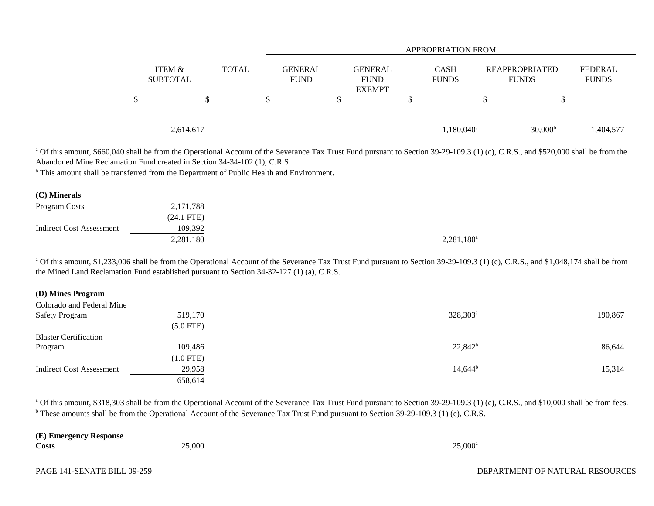|                           |              | <b>APPROPRIATION FROM</b>     |                                                |    |                             |                                       |                                |  |
|---------------------------|--------------|-------------------------------|------------------------------------------------|----|-----------------------------|---------------------------------------|--------------------------------|--|
| ITEM &<br><b>SUBTOTAL</b> | <b>TOTAL</b> | <b>GENERAL</b><br><b>FUND</b> | <b>GENERAL</b><br><b>FUND</b><br><b>EXEMPT</b> |    | <b>CASH</b><br><b>FUNDS</b> | <b>REAPPROPRIATED</b><br><b>FUNDS</b> | <b>FEDERAL</b><br><b>FUNDS</b> |  |
| \$                        |              | \$                            | \$                                             | \$ |                             | S                                     | \$                             |  |
| 2,614,617                 |              |                               |                                                |    | $1,180,040^{\rm a}$         | 30,000 <sup>b</sup>                   | 1,404,577                      |  |

<sup>a</sup> Of this amount, \$660,040 shall be from the Operational Account of the Severance Tax Trust Fund pursuant to Section 39-29-109.3 (1) (c), C.R.S., and \$520,000 shall be from the Abandoned Mine Reclamation Fund created in Section 34-34-102 (1), C.R.S.

<sup>b</sup> This amount shall be transferred from the Department of Public Health and Environment.

| (C) Minerals             |              |
|--------------------------|--------------|
| Program Costs            | 2,171,788    |
|                          | $(24.1$ FTE) |
| Indirect Cost Assessment | 109.392      |
|                          | 2,281,180    |

<sup>a</sup> Of this amount, \$1,233,006 shall be from the Operational Account of the Severance Tax Trust Fund pursuant to Section 39-29-109.3 (1) (c), C.R.S., and \$1,048,174 shall be from the Mined Land Reclamation Fund established pursuant to Section 34-32-127 (1) (a), C.R.S.

| (D) Mines Program            |             |                      |         |
|------------------------------|-------------|----------------------|---------|
| Colorado and Federal Mine    |             |                      |         |
| <b>Safety Program</b>        | 519,170     | 328,303 <sup>a</sup> | 190,867 |
|                              | $(5.0$ FTE) |                      |         |
| <b>Blaster Certification</b> |             |                      |         |
| Program                      | 109,486     | $22,842^b$           | 86,644  |
|                              | $(1.0$ FTE) |                      |         |
| Indirect Cost Assessment     | 29,958      | $14,644^{b}$         | 15,314  |
|                              | 658,614     |                      |         |

<sup>a</sup> Of this amount, \$318,303 shall be from the Operational Account of the Severance Tax Trust Fund pursuant to Section 39-29-109.3 (1) (c), C.R.S., and \$10,000 shall be from fees. <sup>b</sup> These amounts shall be from the Operational Account of the Severance Tax Trust Fund pursuant to Section 39-29-109.3 (1) (c), C.R.S.

| (E) Emergency Response |        |            |
|------------------------|--------|------------|
| Costs                  | 25,000 | $25,000^a$ |
|                        |        |            |
|                        |        |            |

PAGE 141-SENATE BILL 09-259

DEPARTMENT OF NATURAL RESOURCES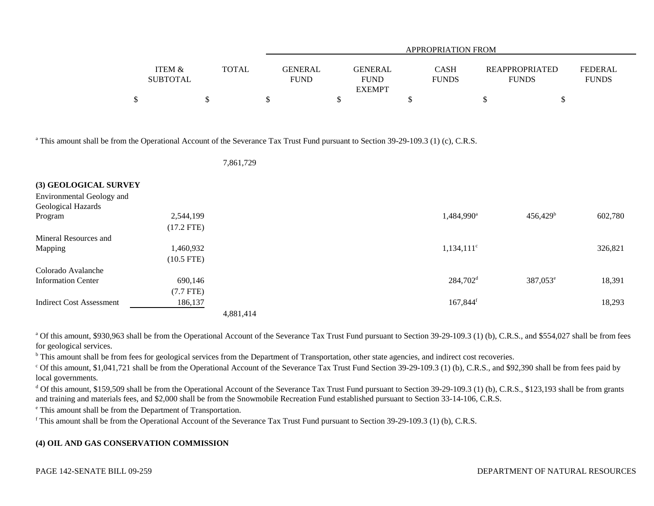|                                      |              | APPROPRIATION FROM            |                                                |                             |                                |                                |  |  |  |
|--------------------------------------|--------------|-------------------------------|------------------------------------------------|-----------------------------|--------------------------------|--------------------------------|--|--|--|
| <b>ITEM &amp;</b><br><b>SUBTOTAL</b> | <b>TOTAL</b> | <b>GENERAL</b><br><b>FUND</b> | <b>GENERAL</b><br><b>FUND</b><br><b>EXEMPT</b> | <b>CASH</b><br><b>FUNDS</b> | REAPPROPRIATED<br><b>FUNDS</b> | <b>FEDERAL</b><br><b>FUNDS</b> |  |  |  |
|                                      |              |                               |                                                |                             |                                |                                |  |  |  |

<sup>a</sup> This amount shall be from the Operational Account of the Severance Tax Trust Fund pursuant to Section 39-29-109.3 (1) (c), C.R.S.

| 7,861,729 |
|-----------|
|-----------|

| (3) GEOLOGICAL SURVEY           |              |           |                          |                   |         |
|---------------------------------|--------------|-----------|--------------------------|-------------------|---------|
| Environmental Geology and       |              |           |                          |                   |         |
| Geological Hazards              |              |           |                          |                   |         |
| Program                         | 2,544,199    |           | 1,484,990 <sup>a</sup>   | $456,429^{\rm b}$ | 602,780 |
|                                 | $(17.2$ FTE) |           |                          |                   |         |
| Mineral Resources and           |              |           |                          |                   |         |
| Mapping                         | 1,460,932    |           | $1,134,111$ <sup>c</sup> |                   | 326,821 |
|                                 | $(10.5$ FTE) |           |                          |                   |         |
| Colorado Avalanche              |              |           |                          |                   |         |
| <b>Information Center</b>       | 690,146      |           | $284,702^{\rm d}$        | $387,053^{\circ}$ | 18,391  |
|                                 | $(7.7$ FTE)  |           |                          |                   |         |
| <b>Indirect Cost Assessment</b> | 186,137      |           | $167,844$ <sup>f</sup>   |                   | 18,293  |
|                                 |              | 4.881.414 |                          |                   |         |

<sup>a</sup> Of this amount, \$930,963 shall be from the Operational Account of the Severance Tax Trust Fund pursuant to Section 39-29-109.3 (1) (b), C.R.S., and \$554,027 shall be from fees for geological services.

<sup>b</sup> This amount shall be from fees for geological services from the Department of Transportation, other state agencies, and indirect cost recoveries.

 $^{\circ}$  Of this amount, \$1,041,721 shall be from the Operational Account of the Severance Tax Trust Fund Section 39-29-109.3 (1) (b), C.R.S., and \$92,390 shall be from fees paid by local governments.

<sup>d</sup> Of this amount, \$159,509 shall be from the Operational Account of the Severance Tax Trust Fund pursuant to Section 39-29-109.3 (1) (b), C.R.S., \$123,193 shall be from grants and training and materials fees, and \$2,000 shall be from the Snowmobile Recreation Fund established pursuant to Section 33-14-106, C.R.S.

e This amount shall be from the Department of Transportation.

f This amount shall be from the Operational Account of the Severance Tax Trust Fund pursuant to Section 39-29-109.3 (1) (b), C.R.S.

# **(4) OIL AND GAS CONSERVATION COMMISSION**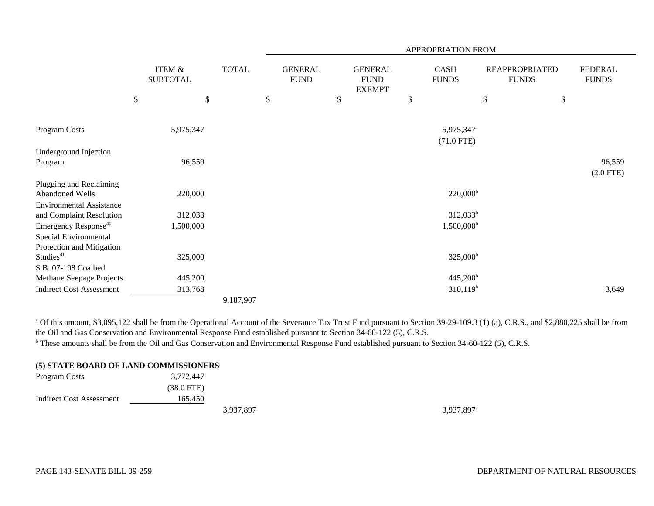|                                  |      |                                      |              |      | APPROPRIATION FROM            |    |                                                |    |                             |                                       |    |                                |
|----------------------------------|------|--------------------------------------|--------------|------|-------------------------------|----|------------------------------------------------|----|-----------------------------|---------------------------------------|----|--------------------------------|
|                                  |      | <b>ITEM &amp;</b><br><b>SUBTOTAL</b> | <b>TOTAL</b> |      | <b>GENERAL</b><br><b>FUND</b> |    | <b>GENERAL</b><br><b>FUND</b><br><b>EXEMPT</b> |    | <b>CASH</b><br><b>FUNDS</b> | <b>REAPPROPRIATED</b><br><b>FUNDS</b> |    | <b>FEDERAL</b><br><b>FUNDS</b> |
|                                  | $\$$ | $\boldsymbol{\mathsf{S}}$            |              | $\$$ |                               | \$ |                                                | \$ |                             | $\$$                                  | \$ |                                |
|                                  |      |                                      |              |      |                               |    |                                                |    |                             |                                       |    |                                |
| Program Costs                    |      | 5,975,347                            |              |      |                               |    |                                                |    | 5,975,347 <sup>a</sup>      |                                       |    |                                |
|                                  |      |                                      |              |      |                               |    |                                                |    | $(71.0$ FTE)                |                                       |    |                                |
| Underground Injection            |      |                                      |              |      |                               |    |                                                |    |                             |                                       |    |                                |
| Program                          |      | 96,559                               |              |      |                               |    |                                                |    |                             |                                       |    | 96,559<br>$(2.0$ FTE)          |
| Plugging and Reclaiming          |      |                                      |              |      |                               |    |                                                |    |                             |                                       |    |                                |
| Abandoned Wells                  |      | 220,000                              |              |      |                               |    |                                                |    | $220,000^{\rm b}$           |                                       |    |                                |
| <b>Environmental Assistance</b>  |      |                                      |              |      |                               |    |                                                |    |                             |                                       |    |                                |
| and Complaint Resolution         |      | 312,033                              |              |      |                               |    |                                                |    | $312,033^b$                 |                                       |    |                                |
| Emergency Response <sup>40</sup> |      | 1,500,000                            |              |      |                               |    |                                                |    | $1,500,000^{\rm b}$         |                                       |    |                                |
| Special Environmental            |      |                                      |              |      |                               |    |                                                |    |                             |                                       |    |                                |
| Protection and Mitigation        |      |                                      |              |      |                               |    |                                                |    |                             |                                       |    |                                |
| Studies <sup>41</sup>            |      | 325,000                              |              |      |                               |    |                                                |    | $325,000^{\rm b}$           |                                       |    |                                |
| S.B. 07-198 Coalbed              |      |                                      |              |      |                               |    |                                                |    |                             |                                       |    |                                |
| Methane Seepage Projects         |      | 445,200                              |              |      |                               |    |                                                |    | 445,200 <sup>b</sup>        |                                       |    |                                |
| <b>Indirect Cost Assessment</b>  |      | 313,768                              |              |      |                               |    |                                                |    | $310,119^b$                 |                                       |    | 3,649                          |
|                                  |      |                                      | 9,187,907    |      |                               |    |                                                |    |                             |                                       |    |                                |

<sup>a</sup> Of this amount, \$3,095,122 shall be from the Operational Account of the Severance Tax Trust Fund pursuant to Section 39-29-109.3 (1) (a), C.R.S., and \$2,880,225 shall be from the Oil and Gas Conservation and Environmental Response Fund established pursuant to Section 34-60-122 (5), C.R.S.

<sup>b</sup> These amounts shall be from the Oil and Gas Conservation and Environmental Response Fund established pursuant to Section 34-60-122 (5), C.R.S.

# **(5) STATE BOARD OF LAND COMMISSIONERS**

| Program Costs            | 3,772,447    |  |
|--------------------------|--------------|--|
|                          | $(38.0$ FTE) |  |
| Indirect Cost Assessment | 165,450      |  |
|                          |              |  |

3,937,897 3,937,897a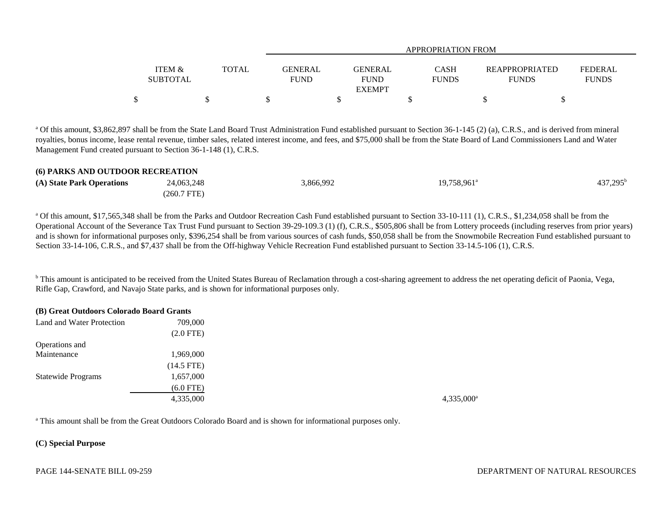|                   |       |                |                | APPROPRIATION FROM |                       |                |
|-------------------|-------|----------------|----------------|--------------------|-----------------------|----------------|
|                   |       |                |                |                    |                       |                |
| <b>ITEM &amp;</b> | TOTAL | <b>GENERAL</b> | <b>GENERAL</b> | <b>CASH</b>        | <b>REAPPROPRIATED</b> | <b>FEDERAL</b> |
| <b>SUBTOTAL</b>   |       | <b>FUND</b>    | <b>FUND</b>    | <b>FUNDS</b>       | <b>FUNDS</b>          | <b>FUNDS</b>   |
|                   |       |                | <b>EXEMPT</b>  |                    |                       |                |
|                   |       |                |                |                    |                       |                |

<sup>a</sup> Of this amount, \$3,862,897 shall be from the State Land Board Trust Administration Fund established pursuant to Section 36-1-145 (2) (a), C.R.S., and is derived from mineral royalties, bonus income, lease rental revenue, timber sales, related interest income, and fees, and \$75,000 shall be from the State Board of Land Commissioners Land and Water Management Fund created pursuant to Section 36-1-148 (1), C.R.S.

| (6) PARKS AND OUTDOOR RECREATION |             |           |                         |                   |  |  |  |  |  |
|----------------------------------|-------------|-----------|-------------------------|-------------------|--|--|--|--|--|
| (A) State Park Operations        | 24,063,248  | 3,866,992 | 19.758.961 <sup>a</sup> | $437,295^{\rm b}$ |  |  |  |  |  |
|                                  | (260.7 FTE) |           |                         |                   |  |  |  |  |  |

<sup>a</sup> Of this amount, \$17,565,348 shall be from the Parks and Outdoor Recreation Cash Fund established pursuant to Section 33-10-111 (1), C.R.S., \$1,234,058 shall be from the Operational Account of the Severance Tax Trust Fund pursuant to Section 39-29-109.3 (1) (f), C.R.S., \$505,806 shall be from Lottery proceeds (including reserves from prior years) and is shown for informational purposes only, \$396,254 shall be from various sources of cash funds, \$50,058 shall be from the Snowmobile Recreation Fund established pursuant to Section 33-14-106, C.R.S., and \$7,437 shall be from the Off-highway Vehicle Recreation Fund established pursuant to Section 33-14.5-106 (1), C.R.S.

<sup>b</sup> This amount is anticipated to be received from the United States Bureau of Reclamation through a cost-sharing agreement to address the net operating deficit of Paonia, Vega, Rifle Gap, Crawford, and Navajo State parks, and is shown for informational purposes only.

### **(B) Great Outdoors Colorado Board Grants**

| Land and Water Protection | 709,000      |
|---------------------------|--------------|
|                           | $(2.0$ FTE)  |
| Operations and            |              |
| Maintenance               | 1,969,000    |
|                           | $(14.5$ FTE) |
| Statewide Programs        | 1,657,000    |
|                           | $(6.0$ FTE)  |
|                           | 4,335,000    |

 $4,335,000^{\rm a}$ 

<sup>a</sup> This amount shall be from the Great Outdoors Colorado Board and is shown for informational purposes only.

## **(C) Special Purpose**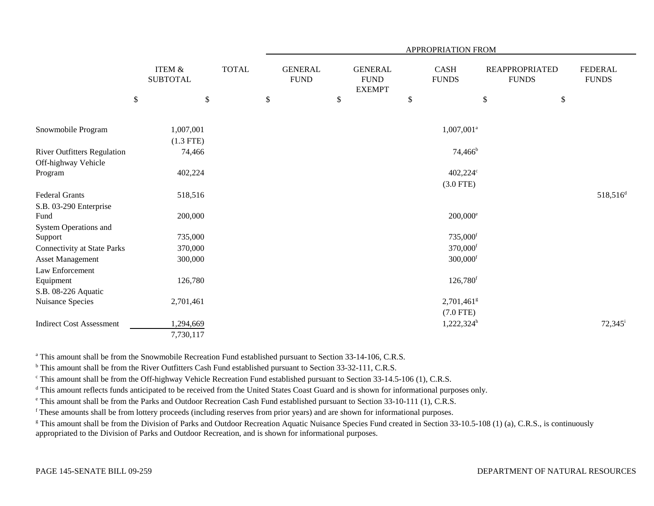|                                    |                           |                                              |              | APPROPRIATION FROM |                               |    |                                                |    |                          |        |                                               |                                |
|------------------------------------|---------------------------|----------------------------------------------|--------------|--------------------|-------------------------------|----|------------------------------------------------|----|--------------------------|--------|-----------------------------------------------|--------------------------------|
|                                    | $\boldsymbol{\mathsf{S}}$ | ITEM $\&$<br><b>SUBTOTAL</b><br>$\mathbb{S}$ | <b>TOTAL</b> | $\$$               | <b>GENERAL</b><br><b>FUND</b> | \$ | <b>GENERAL</b><br><b>FUND</b><br><b>EXEMPT</b> | \$ | CASH<br><b>FUNDS</b>     | $\$\,$ | <b>REAPPROPRIATED</b><br><b>FUNDS</b><br>$\$$ | <b>FEDERAL</b><br><b>FUNDS</b> |
| Snowmobile Program                 |                           | 1,007,001<br>$(1.3$ FTE)                     |              |                    |                               |    |                                                |    | 1,007,001 <sup>a</sup>   |        |                                               |                                |
| <b>River Outfitters Regulation</b> |                           | 74,466                                       |              |                    |                               |    |                                                |    | $74,466^b$               |        |                                               |                                |
| Off-highway Vehicle                |                           |                                              |              |                    |                               |    |                                                |    |                          |        |                                               |                                |
| Program                            |                           | 402,224                                      |              |                    |                               |    |                                                |    | $402,224^{\circ}$        |        |                                               |                                |
|                                    |                           |                                              |              |                    |                               |    |                                                |    | $(3.0$ FTE)              |        |                                               |                                |
| <b>Federal Grants</b>              |                           | 518,516                                      |              |                    |                               |    |                                                |    |                          |        |                                               | $518,516^d$                    |
| S.B. 03-290 Enterprise<br>Fund     |                           | 200,000                                      |              |                    |                               |    |                                                |    | $200,000$ <sup>e</sup>   |        |                                               |                                |
| System Operations and              |                           |                                              |              |                    |                               |    |                                                |    |                          |        |                                               |                                |
| Support                            |                           | 735,000                                      |              |                    |                               |    |                                                |    | 735,000f                 |        |                                               |                                |
| <b>Connectivity at State Parks</b> |                           | 370,000                                      |              |                    |                               |    |                                                |    | 370,000f                 |        |                                               |                                |
| <b>Asset Management</b>            |                           | 300,000                                      |              |                    |                               |    |                                                |    | $300,000$ <sup>f</sup>   |        |                                               |                                |
| Law Enforcement                    |                           |                                              |              |                    |                               |    |                                                |    |                          |        |                                               |                                |
| Equipment                          |                           | 126,780                                      |              |                    |                               |    |                                                |    | $126,780$ <sup>f</sup>   |        |                                               |                                |
| S.B. 08-226 Aquatic                |                           |                                              |              |                    |                               |    |                                                |    |                          |        |                                               |                                |
| Nuisance Species                   |                           | 2,701,461                                    |              |                    |                               |    |                                                |    | $2,701,461$ <sup>g</sup> |        |                                               |                                |
|                                    |                           |                                              |              |                    |                               |    |                                                |    | $(7.0$ FTE)              |        |                                               |                                |
| <b>Indirect Cost Assessment</b>    |                           | 1,294,669                                    |              |                    |                               |    |                                                |    | 1,222,324h               |        |                                               | $72,345$ <sup>i</sup>          |
|                                    |                           | 7,730,117                                    |              |                    |                               |    |                                                |    |                          |        |                                               |                                |

<sup>a</sup> This amount shall be from the Snowmobile Recreation Fund established pursuant to Section 33-14-106, C.R.S.

<sup>b</sup> This amount shall be from the River Outfitters Cash Fund established pursuant to Section 33-32-111, C.R.S.

<sup>c</sup> This amount shall be from the Off-highway Vehicle Recreation Fund established pursuant to Section 33-14.5-106 (1), C.R.S.

<sup>d</sup> This amount reflects funds anticipated to be received from the United States Coast Guard and is shown for informational purposes only.

e This amount shall be from the Parks and Outdoor Recreation Cash Fund established pursuant to Section 33-10-111 (1), C.R.S.

f These amounts shall be from lottery proceeds (including reserves from prior years) and are shown for informational purposes.

<sup>g</sup> This amount shall be from the Division of Parks and Outdoor Recreation Aquatic Nuisance Species Fund created in Section 33-10.5-108 (1) (a), C.R.S., is continuously appropriated to the Division of Parks and Outdoor Recreation, and is shown for informational purposes.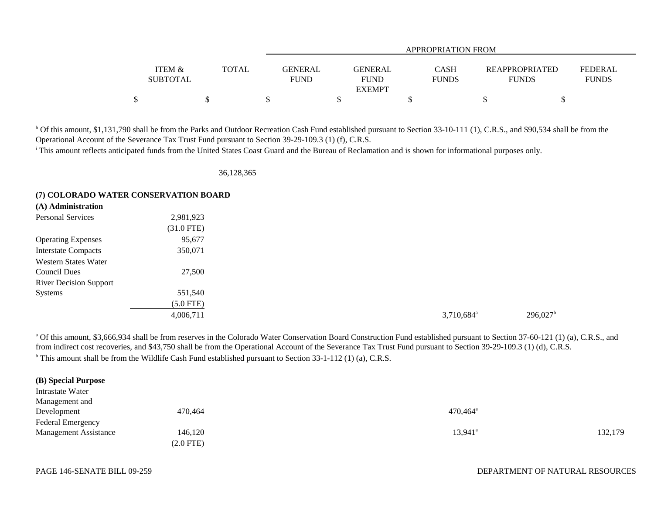|                                      |              |                               | APPROPRIATION FROM                      |                             |                                       |                                |  |  |  |  |  |
|--------------------------------------|--------------|-------------------------------|-----------------------------------------|-----------------------------|---------------------------------------|--------------------------------|--|--|--|--|--|
| <b>ITEM &amp;</b><br><b>SUBTOTAL</b> | <b>TOTAL</b> | <b>GENERAL</b><br><b>FUND</b> | GENERAL<br><b>FUND</b><br><b>EXEMPT</b> | <b>CASH</b><br><b>FUNDS</b> | <b>REAPPROPRIATED</b><br><b>FUNDS</b> | <b>FEDERAL</b><br><b>FUNDS</b> |  |  |  |  |  |
| \$                                   |              |                               |                                         |                             |                                       |                                |  |  |  |  |  |

<sup>h</sup> Of this amount, \$1,131,790 shall be from the Parks and Outdoor Recreation Cash Fund established pursuant to Section 33-10-111 (1), C.R.S., and \$90,534 shall be from the Operational Account of the Severance Tax Trust Fund pursuant to Section 39-29-109.3 (1) (f), C.R.S.

<sup>i</sup> This amount reflects anticipated funds from the United States Coast Guard and the Bureau of Reclamation and is shown for informational purposes only.

36,128,365

### **(7) COLORADO WATER CONSERVATION BOARD**

| (A) Administration            |              |                          |
|-------------------------------|--------------|--------------------------|
| Personal Services             | 2,981,923    |                          |
|                               | $(31.0$ FTE) |                          |
| <b>Operating Expenses</b>     | 95,677       |                          |
| <b>Interstate Compacts</b>    | 350,071      |                          |
| Western States Water          |              |                          |
| Council Dues                  | 27,500       |                          |
| <b>River Decision Support</b> |              |                          |
| Systems                       | 551,540      |                          |
|                               | $(5.0$ FTE)  |                          |
|                               | 4,006,711    | $3,710,684$ <sup>a</sup> |

<sup>a</sup> Of this amount, \$3,666,934 shall be from reserves in the Colorado Water Conservation Board Construction Fund established pursuant to Section 37-60-121 (1) (a), C.R.S., and from indirect cost recoveries, and \$43,750 shall be from the Operational Account of the Severance Tax Trust Fund pursuant to Section 39-29-109.3 (1) (d), C.R.S.  $b$  This amount shall be from the Wildlife Cash Fund established pursuant to Section 33-1-112 (1) (a), C.R.S.

| (B) Special Purpose          |             |                        |         |
|------------------------------|-------------|------------------------|---------|
| Intrastate Water             |             |                        |         |
| Management and               |             |                        |         |
| Development                  | 470,464     | $470,464$ <sup>a</sup> |         |
| <b>Federal Emergency</b>     |             |                        |         |
| <b>Management Assistance</b> | 146,120     | $13,941$ <sup>a</sup>  | 132,179 |
|                              | $(2.0$ FTE) |                        |         |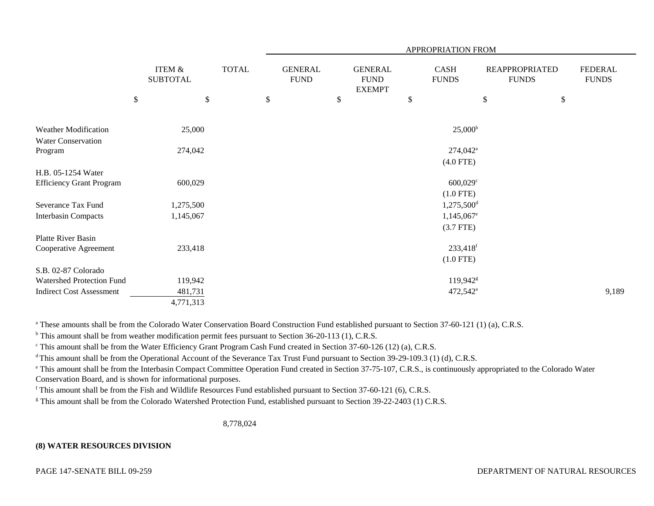|                                                          |      |                                      |              | APPROPRIATION FROM |                               |      |                                                |                   |                          |                                       |    |                                |  |
|----------------------------------------------------------|------|--------------------------------------|--------------|--------------------|-------------------------------|------|------------------------------------------------|-------------------|--------------------------|---------------------------------------|----|--------------------------------|--|
|                                                          |      | <b>ITEM &amp;</b><br><b>SUBTOTAL</b> | <b>TOTAL</b> |                    | <b>GENERAL</b><br><b>FUND</b> |      | <b>GENERAL</b><br><b>FUND</b><br><b>EXEMPT</b> |                   | CASH<br><b>FUNDS</b>     | <b>REAPPROPRIATED</b><br><b>FUNDS</b> |    | <b>FEDERAL</b><br><b>FUNDS</b> |  |
|                                                          | $\$$ | $\mathcal{S}$                        |              | $\$$               |                               | $\$$ |                                                | \$                |                          | $\$$                                  | \$ |                                |  |
| <b>Weather Modification</b><br><b>Water Conservation</b> |      | 25,000                               |              |                    |                               |      |                                                |                   | 25,000 <sup>b</sup>      |                                       |    |                                |  |
| Program                                                  |      | 274,042                              |              |                    |                               |      |                                                | $274,042^{\rm a}$ |                          |                                       |    |                                |  |
| H.B. 05-1254 Water                                       |      |                                      |              |                    |                               |      |                                                |                   | $(4.0$ FTE)              |                                       |    |                                |  |
| <b>Efficiency Grant Program</b>                          |      | 600,029                              |              |                    |                               |      |                                                |                   | $600,029^{\circ}$        |                                       |    |                                |  |
|                                                          |      |                                      |              |                    |                               |      |                                                |                   | $(1.0$ FTE)              |                                       |    |                                |  |
| Severance Tax Fund                                       |      | 1,275,500                            |              |                    |                               |      |                                                |                   | $1,275,500$ <sup>d</sup> |                                       |    |                                |  |
| <b>Interbasin Compacts</b>                               |      | 1,145,067                            |              |                    |                               |      |                                                |                   | $1,145,067$ <sup>e</sup> |                                       |    |                                |  |
|                                                          |      |                                      |              |                    |                               |      |                                                |                   | $(3.7$ FTE)              |                                       |    |                                |  |
| Platte River Basin                                       |      |                                      |              |                    |                               |      |                                                |                   |                          |                                       |    |                                |  |
| Cooperative Agreement                                    |      | 233,418                              |              |                    |                               |      |                                                |                   | 233,418f                 |                                       |    |                                |  |
|                                                          |      |                                      |              |                    |                               |      |                                                |                   | $(1.0$ FTE)              |                                       |    |                                |  |
| S.B. 02-87 Colorado                                      |      |                                      |              |                    |                               |      |                                                |                   |                          |                                       |    |                                |  |
| Watershed Protection Fund                                |      | 119,942                              |              |                    |                               |      |                                                |                   | $119,942$ <sup>g</sup>   |                                       |    |                                |  |
| <b>Indirect Cost Assessment</b>                          |      | 481,731                              |              |                    |                               |      |                                                |                   | $472,542^{\circ}$        |                                       |    | 9,189                          |  |
|                                                          |      | 4,771,313                            |              |                    |                               |      |                                                |                   |                          |                                       |    |                                |  |

<sup>a</sup> These amounts shall be from the Colorado Water Conservation Board Construction Fund established pursuant to Section 37-60-121 (1) (a), C.R.S.

<sup>b</sup> This amount shall be from weather modification permit fees pursuant to Section 36-20-113 (1), C.R.S.

<sup>c</sup> This amount shall be from the Water Efficiency Grant Program Cash Fund created in Section 37-60-126 (12) (a), C.R.S.

<sup>d</sup> This amount shall be from the Operational Account of the Severance Tax Trust Fund pursuant to Section 39-29-109.3 (1) (d), C.R.S.

<sup>e</sup> This amount shall be from the Interbasin Compact Committee Operation Fund created in Section 37-75-107, C.R.S., is continuously appropriated to the Colorado Water Conservation Board, and is shown for informational purposes.

f This amount shall be from the Fish and Wildlife Resources Fund established pursuant to Section 37-60-121 (6), C.R.S.

<sup>g</sup> This amount shall be from the Colorado Watershed Protection Fund, established pursuant to Section 39-22-2403 (1) C.R.S.

8,778,024

## **(8) WATER RESOURCES DIVISION**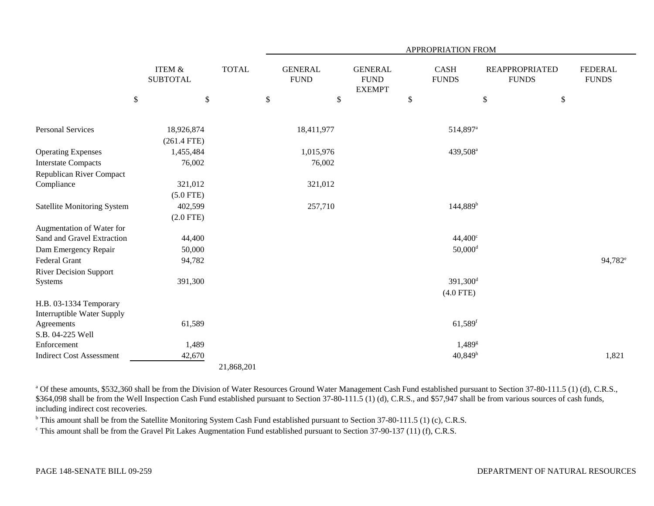|                                                             |                                      |              | APPROPRIATION FROM            |                                                |                           |                       |                                       |                                |  |  |  |  |
|-------------------------------------------------------------|--------------------------------------|--------------|-------------------------------|------------------------------------------------|---------------------------|-----------------------|---------------------------------------|--------------------------------|--|--|--|--|
|                                                             | <b>ITEM &amp;</b><br><b>SUBTOTAL</b> | <b>TOTAL</b> | <b>GENERAL</b><br><b>FUND</b> | <b>GENERAL</b><br><b>FUND</b><br><b>EXEMPT</b> |                           | CASH<br><b>FUNDS</b>  | <b>REAPPROPRIATED</b><br><b>FUNDS</b> | <b>FEDERAL</b><br><b>FUNDS</b> |  |  |  |  |
|                                                             | $\$$<br>\$                           | \$           | \$                            |                                                | $\boldsymbol{\mathsf{S}}$ |                       | $\$$                                  | $\$$                           |  |  |  |  |
| <b>Personal Services</b>                                    | 18,926,874                           |              | 18,411,977                    |                                                |                           | 514,897 <sup>a</sup>  |                                       |                                |  |  |  |  |
|                                                             | $(261.4$ FTE)<br>1,455,484           |              | 1,015,976                     |                                                |                           | 439,508 <sup>a</sup>  |                                       |                                |  |  |  |  |
| <b>Operating Expenses</b><br><b>Interstate Compacts</b>     | 76,002                               |              | 76,002                        |                                                |                           |                       |                                       |                                |  |  |  |  |
| Republican River Compact                                    |                                      |              |                               |                                                |                           |                       |                                       |                                |  |  |  |  |
| Compliance                                                  | 321,012                              |              | 321,012                       |                                                |                           |                       |                                       |                                |  |  |  |  |
|                                                             | $(5.0$ FTE)                          |              |                               |                                                |                           |                       |                                       |                                |  |  |  |  |
| Satellite Monitoring System                                 | 402,599                              |              | 257,710                       |                                                |                           | $144,889^b$           |                                       |                                |  |  |  |  |
|                                                             | $(2.0$ FTE)                          |              |                               |                                                |                           |                       |                                       |                                |  |  |  |  |
| Augmentation of Water for                                   |                                      |              |                               |                                                |                           |                       |                                       |                                |  |  |  |  |
| Sand and Gravel Extraction                                  | 44,400                               |              |                               |                                                |                           | $44,400^{\circ}$      |                                       |                                |  |  |  |  |
| Dam Emergency Repair                                        | 50,000                               |              |                               |                                                |                           | $50,000$ <sup>d</sup> |                                       |                                |  |  |  |  |
| <b>Federal Grant</b>                                        | 94,782                               |              |                               |                                                |                           |                       |                                       | 94,782 <sup>e</sup>            |  |  |  |  |
| <b>River Decision Support</b>                               |                                      |              |                               |                                                |                           |                       |                                       |                                |  |  |  |  |
| Systems                                                     | 391,300                              |              |                               |                                                |                           | 391,300 <sup>d</sup>  |                                       |                                |  |  |  |  |
|                                                             |                                      |              |                               |                                                |                           | $(4.0$ FTE)           |                                       |                                |  |  |  |  |
| H.B. 03-1334 Temporary<br><b>Interruptible Water Supply</b> |                                      |              |                               |                                                |                           |                       |                                       |                                |  |  |  |  |
| Agreements                                                  | 61,589                               |              |                               |                                                |                           | $61,589$ <sup>f</sup> |                                       |                                |  |  |  |  |
| S.B. 04-225 Well                                            |                                      |              |                               |                                                |                           |                       |                                       |                                |  |  |  |  |
| Enforcement                                                 | 1,489                                |              |                               |                                                |                           | 1,489 <sup>g</sup>    |                                       |                                |  |  |  |  |
| <b>Indirect Cost Assessment</b>                             | 42,670                               |              |                               |                                                |                           | 40,849 <sup>h</sup>   |                                       | 1,821                          |  |  |  |  |
|                                                             |                                      | 21,868,201   |                               |                                                |                           |                       |                                       |                                |  |  |  |  |

<sup>a</sup> Of these amounts, \$532,360 shall be from the Division of Water Resources Ground Water Management Cash Fund established pursuant to Section 37-80-111.5 (1) (d), C.R.S., \$364,098 shall be from the Well Inspection Cash Fund established pursuant to Section 37-80-111.5 (1) (d), C.R.S., and \$57,947 shall be from various sources of cash funds, including indirect cost recoveries.

<sup>b</sup> This amount shall be from the Satellite Monitoring System Cash Fund established pursuant to Section 37-80-111.5 (1) (c), C.R.S.

c This amount shall be from the Gravel Pit Lakes Augmentation Fund established pursuant to Section 37-90-137 (11) (f), C.R.S.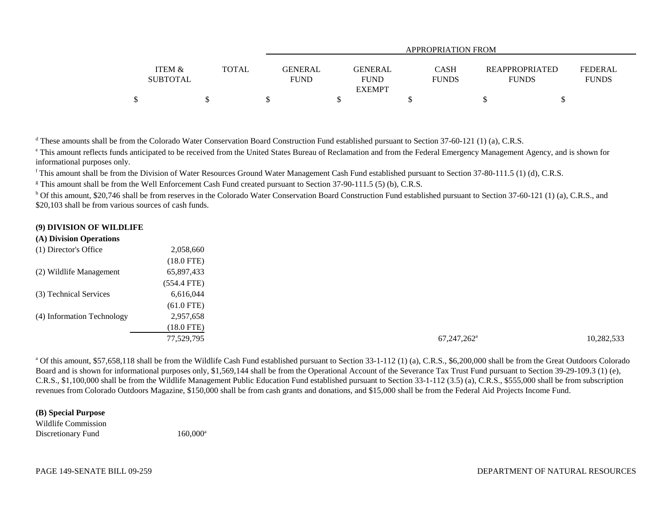|                           |              |                               | APPROPRIATION FROM                      |                             |                                       |                                |  |  |  |  |  |
|---------------------------|--------------|-------------------------------|-----------------------------------------|-----------------------------|---------------------------------------|--------------------------------|--|--|--|--|--|
| ITEM &<br><b>SUBTOTAL</b> | <b>TOTAL</b> | <b>GENERAL</b><br><b>FUND</b> | GENERAL<br><b>FUND</b><br><b>EXEMPT</b> | <b>CASH</b><br><b>FUNDS</b> | <b>REAPPROPRIATED</b><br><b>FUNDS</b> | <b>FEDERAL</b><br><b>FUNDS</b> |  |  |  |  |  |
| \$                        |              |                               |                                         |                             |                                       |                                |  |  |  |  |  |

<sup>d</sup> These amounts shall be from the Colorado Water Conservation Board Construction Fund established pursuant to Section 37-60-121 (1) (a), C.R.S.

<sup>e</sup> This amount reflects funds anticipated to be received from the United States Bureau of Reclamation and from the Federal Emergency Management Agency, and is shown for informational purposes only.

f This amount shall be from the Division of Water Resources Ground Water Management Cash Fund established pursuant to Section 37-80-111.5 (1) (d), C.R.S.

<sup>g</sup> This amount shall be from the Well Enforcement Cash Fund created pursuant to Section 37-90-111.5 (5) (b), C.R.S.

<sup>h</sup> Of this amount, \$20,746 shall be from reserves in the Colorado Water Conservation Board Construction Fund established pursuant to Section 37-60-121 (1) (a), C.R.S., and \$20,103 shall be from various sources of cash funds.

## **(9) DIVISION OF WILDLIFE**

### **(A) Division Operations**

| (1) Director's Office      | 2,058,660     |                         |
|----------------------------|---------------|-------------------------|
|                            | $(18.0$ FTE)  |                         |
| (2) Wildlife Management    | 65,897,433    |                         |
|                            | $(554.4$ FTE) |                         |
| (3) Technical Services     | 6,616,044     |                         |
|                            | $(61.0$ FTE)  |                         |
| (4) Information Technology | 2,957,658     |                         |
|                            | $(18.0$ FTE)  |                         |
|                            | 77,529,795    | $67,247,262^{\text{a}}$ |
|                            |               |                         |

<sup>a</sup> Of this amount, \$57,658,118 shall be from the Wildlife Cash Fund established pursuant to Section 33-1-112 (1) (a), C.R.S., \$6,200,000 shall be from the Great Outdoors Colorado Board and is shown for informational purposes only, \$1,569,144 shall be from the Operational Account of the Severance Tax Trust Fund pursuant to Section 39-29-109.3 (1) (e), C.R.S., \$1,100,000 shall be from the Wildlife Management Public Education Fund established pursuant to Section 33-1-112 (3.5) (a), C.R.S., \$555,000 shall be from subscription revenues from Colorado Outdoors Magazine, \$150,000 shall be from cash grants and donations, and \$15,000 shall be from the Federal Aid Projects Income Fund.

# **(B) Special Purpose**

Wildlife CommissionDiscretionary Fund 160,000<sup>a</sup>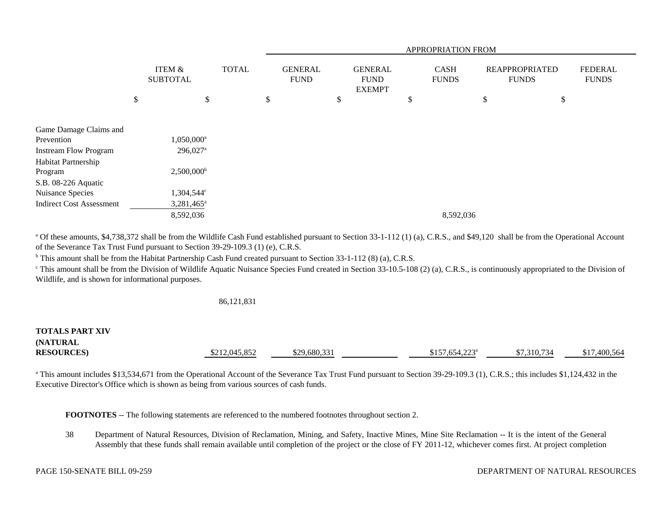|                                 |                                      |              |                               | APPROPRIATION FROM |                                                |  |                             |           |                                       |  |                                |  |
|---------------------------------|--------------------------------------|--------------|-------------------------------|--------------------|------------------------------------------------|--|-----------------------------|-----------|---------------------------------------|--|--------------------------------|--|
|                                 | <b>ITEM &amp;</b><br><b>SUBTOTAL</b> | <b>TOTAL</b> | <b>GENERAL</b><br><b>FUND</b> |                    | <b>GENERAL</b><br><b>FUND</b><br><b>EXEMPT</b> |  | <b>CASH</b><br><b>FUNDS</b> |           | <b>REAPPROPRIATED</b><br><b>FUNDS</b> |  | <b>FEDERAL</b><br><b>FUNDS</b> |  |
|                                 | \$<br>\$                             |              | \$                            |                    | \$                                             |  | D                           |           | \$                                    |  | \$                             |  |
| Game Damage Claims and          |                                      |              |                               |                    |                                                |  |                             |           |                                       |  |                                |  |
| Prevention                      | 1,050,000 <sup>a</sup>               |              |                               |                    |                                                |  |                             |           |                                       |  |                                |  |
| <b>Instream Flow Program</b>    | 296,027 <sup>a</sup>                 |              |                               |                    |                                                |  |                             |           |                                       |  |                                |  |
| Habitat Partnership             |                                      |              |                               |                    |                                                |  |                             |           |                                       |  |                                |  |
| Program                         | $2,500,000^{\rm b}$                  |              |                               |                    |                                                |  |                             |           |                                       |  |                                |  |
| S.B. 08-226 Aquatic             |                                      |              |                               |                    |                                                |  |                             |           |                                       |  |                                |  |
| Nuisance Species                | $1,304,544^{\circ}$                  |              |                               |                    |                                                |  |                             |           |                                       |  |                                |  |
| <b>Indirect Cost Assessment</b> | $3,281,465^{\circ}$                  |              |                               |                    |                                                |  |                             |           |                                       |  |                                |  |
|                                 | 8,592,036                            |              |                               |                    |                                                |  |                             | 8,592,036 |                                       |  |                                |  |

<sup>a</sup> Of these amounts, \$4,738,372 shall be from the Wildlife Cash Fund established pursuant to Section 33-1-112 (1) (a), C.R.S., and \$49,120 shall be from the Operational Account of the Severance Tax Trust Fund pursuant to Section 39-29-109.3 (1) (e), C.R.S.

<sup>b</sup> This amount shall be from the Habitat Partnership Cash Fund created pursuant to Section 33-1-112 (8) (a), C.R.S.

<sup>c</sup> This amount shall be from the Division of Wildlife Aquatic Nuisance Species Fund created in Section 33-10.5-108 (2) (a), C.R.S., is continuously appropriated to the Division of Wildlife, and is shown for informational purposes.

### 86,121,831

| <b>TOTALS PART XIV</b> |               |              |                             |             |              |
|------------------------|---------------|--------------|-----------------------------|-------------|--------------|
| <b>(NATURAL)</b>       |               |              |                             |             |              |
| <b>RESOURCES</b>       | \$212,045,852 | \$29,680,331 | $$157,654,223$ <sup>a</sup> | \$7.310.734 | \$17,400,564 |

<sup>a</sup> This amount includes \$13,534,671 from the Operational Account of the Severance Tax Trust Fund pursuant to Section 39-29-109.3 (1), C.R.S.; this includes \$1,124,432 in the Executive Director's Office which is shown as being from various sources of cash funds.

**FOOTNOTES** -- The following statements are referenced to the numbered footnotes throughout section 2.

38 Department of Natural Resources, Division of Reclamation, Mining, and Safety, Inactive Mines, Mine Site Reclamation -- It is the intent of the General Assembly that these funds shall remain available until completion of the project or the close of FY 2011-12, whichever comes first. At project completion